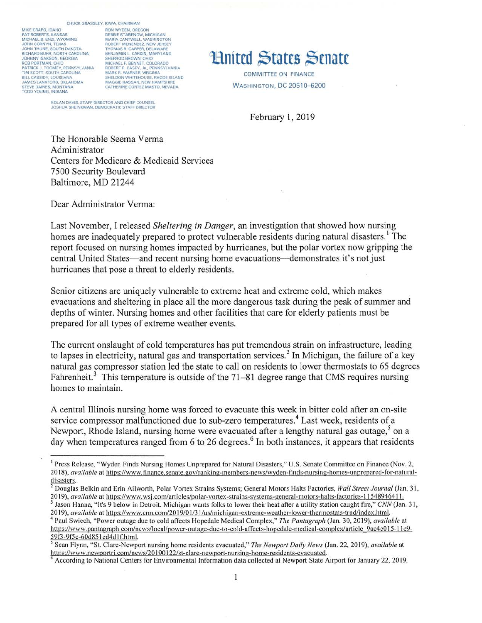#### CHUCK GRASSLEY, IOWA, CHAIRMAN

MIKE CRAPO, IDAHO PAT ROBERTS, KANSAS MICHAEL B. ENZI, WYOMING<br>JOHN CORNYN, TEXAS<br>JOHN THUNE, SOUTH DAKOTA RICHARD BURR, NORTH CAROLINA JOHNNY ISAKSON, GEORGIA<br>ROB PORTMAN, OHIO PATRICK J. TOOMEY, PENNSYLVANIA<br>TIM SCOTT, SOUTH CAROLINA<br>BILL CASSIDY, LOUISIANA<br>JAMES LANKFORD, OKLAHOMA STEVE DAINES, MONTANA<br>TODD YOUNG, INDIANA

RON WYDEN, OREGON DEBBIE STABENOW, MICHIGAN MARIA CANTWELL, WASHINGTON<br>ROBERT MENENDEZ, NEW JERSEY<br>THOMAS R. CARPER, DELAWARE **RENJAMINT CARDIN MARYLAND** SHERROD BROWN, OHIO<br>MICHAEL F. BENNET, COLORADO ROBERT P. CASEY, JR., PENNSYLVANIA MOBERT F. CASE F. JR., FENNS FLYANA<br>MARK R. WARNER, VIRGINIA<br>SHELDON WHITEHOUSE, RHODE ISLAND MAGGIE HASSAN, NEW HAMPSHIRE CATHERINE CORTEZ MASTO, NEVADA

KOLAN DAVIS, STAFF DIRECTOR AND CHIEF COUNSEL JOSHUA SHEINKMAN, DEMOCRATIC STAFF DIRECTOR

# **Hnited States Senate**

COMMITTEE ON FINANCE **WASHINGTON, DC 20510-6200** 

February 1, 2019

The Honorable Seema Verma Administrator Centers for Medicare & Medicaid Services 7500 Security Boulevard Baltimore, MD 21244

Dear Administrator Verma:

Last November, I released Sheltering in Danger, an investigation that showed how nursing homes are inadequately prepared to protect vulnerable residents during natural disasters.<sup>1</sup> The report focused on nursing homes impacted by hurricanes, but the polar vortex now gripping the central United States—and recent nursing home evacuations—demonstrates it's not just hurricanes that pose a threat to elderly residents.

Senior citizens are uniquely vulnerable to extreme heat and extreme cold, which makes evacuations and sheltering in place all the more dangerous task during the peak of summer and depths of winter. Nursing homes and other facilities that care for elderly patients must be prepared for all types of extreme weather events.

The current onslaught of cold temperatures has put tremendous strain on infrastructure, leading to lapses in electricity, natural gas and transportation services.<sup>2</sup> In Michigan, the failure of a key natural gas compressor station led the state to call on residents to lower thermostats to 65 degrees Fahrenheit.<sup>3</sup> This temperature is outside of the 71-81 degree range that CMS requires nursing homes to maintain.

A central Illinois nursing home was forced to evacuate this week in bitter cold after an on-site service compressor malfunctioned due to sub-zero temperatures.<sup>4</sup> Last week, residents of a Newport, Rhode Island, nursing home were evacuated after a lengthy natural gas outage,<sup>5</sup> on a day when temperatures ranged from 6 to 26 degrees.<sup>6</sup> In both instances, it appears that residents

<sup>3</sup> Jason Hanna, "It's 9 below in Detroit. Michigan wants folks to lower their heat after a utility station caught fire," CNN (Jan. 31, 2019), available at https://www.cnn.com/2019/01/31/us/michigan-extreme-weather-lower-thermostats-trnd/index.html.

<sup>&</sup>lt;sup>1</sup> Press Release, "Wyden Finds Nursing Homes Unprepared for Natural Disasters," U.S. Senate Committee on Finance (Nov. 2, 2018), available at https://www.finance.senate.gov/ranking-members-news/wyden-finds-nursing-homes-unprepared-for-naturaldisasters.

<sup>&</sup>lt;sup>2</sup> Douglas Belkin and Erin Ailworth, Polar Vortex Strains Systems; General Motors Halts Factories, Wall Street Journal (Jan. 31, 2019), available at https://www.wsj.com/articles/polar-vortex-strains-systems-general-motors-halts-factories-11548946411.

<sup>&</sup>lt;sup>4</sup> Paul Swiech, "Power outage due to cold affects Hopedale Medical Complex," The Pantagraph (Jan. 30, 2019), available at https://www.pantagraph.com/news/local/power-outage-due-to-cold-affects-hopedale-medical-complex/article\_9ac4c015-11e9- $\frac{59f3-9f5e-60d851ed4d1f.html}{556e}$ 

Sean Flynn, "St. Clare-Newport nursing home residents evacuated," The Newport Daily News (Jan. 22, 2019), available at https://www.newportri.com/news/20190122/st-clare-newport-nursing-home-residents-evacuated.

According to National Centers for Environmental Information data collected at Newport State Airport for January 22, 2019.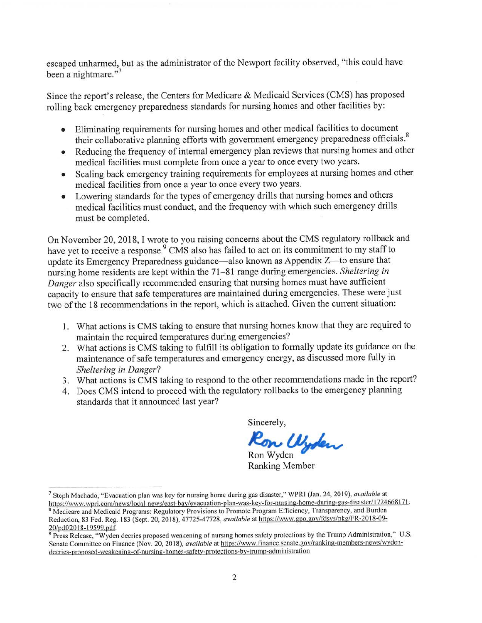escaped unharmed, but as the administrator of the Newport facility observed, "this could have been a nightmare."<sup>7</sup>

Since the report's release, the Centers for Medicare & Medicaid Services (CMS) has proposed rolling back emergency preparedness standards for nursing homes and other facilities by:

- Eliminating requirements for nursing homes and other medical facilities to document  $\bullet$ their collaborative planning efforts with government emergency preparedness officials.<sup>8</sup>
- Reducing the frequency of internal emergency plan reviews that nursing homes and other  $\bullet$ medical facilities must complete from once a year to once every two years.
- Scaling back emergency training requirements for employees at nursing homes and other  $\bullet$ medical facilities from once a year to once every two years.
- Lowering standards for the types of emergency drills that nursing homes and others  $\bullet$ medical facilities must conduct, and the frequency with which such emergency drills must be completed.

On November 20, 2018, I wrote to you raising concerns about the CMS regulatory rollback and have vet to receive a response.<sup>9</sup> CMS also has failed to act on its commitment to my staff to undate its Emergency Preparedness guidance—also known as Appendix Z—to ensure that nursing home residents are kept within the 71-81 range during emergencies. Sheltering in Danger also specifically recommended ensuring that nursing homes must have sufficient capacity to ensure that safe temperatures are maintained during emergencies. These were just two of the 18 recommendations in the report, which is attached. Given the current situation:

- 1. What actions is CMS taking to ensure that nursing homes know that they are required to maintain the required temperatures during emergencies?
- 2. What actions is CMS taking to fulfill its obligation to formally update its guidance on the maintenance of safe temperatures and emergency energy, as discussed more fully in Sheltering in Danger?
- 3. What actions is CMS taking to respond to the other recommendations made in the report?
- 4. Does CMS intend to proceed with the regulatory rollbacks to the emergency planning standards that it announced last year?

Sincerely,

Ron Wyden

**Ranking Member** 

<sup>&</sup>lt;sup>7</sup> Steph Machado, "Evacuation plan was key for nursing home during gas disaster," WPRI (Jan. 24, 2019), available at https://www.wpri.com/news/local-news/east-bay/evacuation-plan-was-key-for-nursing-home-during-gas-disaster/1724668171. Medicare and Medicaid Programs: Regulatory Provisions to Promote Program Efficiency, Transparency, and Burden

Reduction, 83 Fed. Reg. 183 (Sept. 20, 2018), 47725-47728, available at https://www.gpo.gov/fdsys/pkg/FR-2018-09-20/pdf/2018-19599.pdf

Press Release, "Wyden decries proposed weakening of nursing homes safety protections by the Trump Administration," U.S. Senate Committee on Finance (Nov. 20, 2018), available at https://www.finance.senate.gov/ranking-members-news/wydendecries-proposed-weakening-of-nursing-homes-safety-protections-by-trump-administration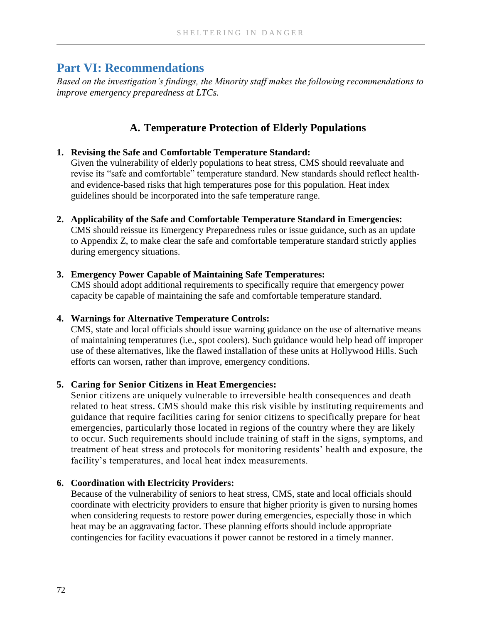# **Part VI: Recommendations**

*Based on the investigation's findings, the Minority staff makes the following recommendations to improve emergency preparedness at LTCs.*

## **A. Temperature Protection of Elderly Populations**

#### **1. Revising the Safe and Comfortable Temperature Standard:**

Given the vulnerability of elderly populations to heat stress, CMS should reevaluate and revise its "safe and comfortable" temperature standard. New standards should reflect healthand evidence-based risks that high temperatures pose for this population. Heat index guidelines should be incorporated into the safe temperature range.

**2. Applicability of the Safe and Comfortable Temperature Standard in Emergencies:**

CMS should reissue its Emergency Preparedness rules or issue guidance, such as an update to Appendix Z, to make clear the safe and comfortable temperature standard strictly applies during emergency situations.

#### **3. Emergency Power Capable of Maintaining Safe Temperatures:**

CMS should adopt additional requirements to specifically require that emergency power capacity be capable of maintaining the safe and comfortable temperature standard.

#### **4. Warnings for Alternative Temperature Controls:**

CMS, state and local officials should issue warning guidance on the use of alternative means of maintaining temperatures (i.e., spot coolers). Such guidance would help head off improper use of these alternatives, like the flawed installation of these units at Hollywood Hills. Such efforts can worsen, rather than improve, emergency conditions.

#### **5. Caring for Senior Citizens in Heat Emergencies:**

Senior citizens are uniquely vulnerable to irreversible health consequences and death related to heat stress. CMS should make this risk visible by instituting requirements and guidance that require facilities caring for senior citizens to specifically prepare for heat emergencies, particularly those located in regions of the country where they are likely to occur. Such requirements should include training of staff in the signs, symptoms, and treatment of heat stress and protocols for monitoring residents' health and exposure, the facility's temperatures, and local heat index measurements.

#### **6. Coordination with Electricity Providers:**

Because of the vulnerability of seniors to heat stress, CMS, state and local officials should coordinate with electricity providers to ensure that higher priority is given to nursing homes when considering requests to restore power during emergencies, especially those in which heat may be an aggravating factor. These planning efforts should include appropriate contingencies for facility evacuations if power cannot be restored in a timely manner.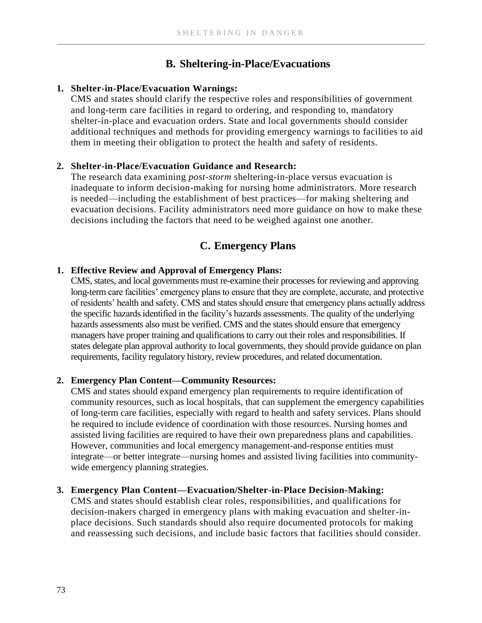# **B. Sheltering-in-Place/Evacuations**

#### **1. Shelter-in-Place/Evacuation Warnings:**

CMS and states should clarify the respective roles and responsibilities of government and long-term care facilities in regard to ordering, and responding to, mandatory shelter-in-place and evacuation orders. State and local governments should consider additional techniques and methods for providing emergency warnings to facilities to aid them in meeting their obligation to protect the health and safety of residents.

#### **2. Shelter-in-Place/Evacuation Guidance and Research:**

The research data examining *post-storm* sheltering-in-place versus evacuation is inadequate to inform decision-making for nursing home administrators. More research is needed—including the establishment of best practices—for making sheltering and evacuation decisions. Facility administrators need more guidance on how to make these decisions including the factors that need to be weighed against one another.

# **C. Emergency Plans**

#### **1. Effective Review and Approval of Emergency Plans:**

CMS, states, and local governments must re-examine their processes for reviewing and approving long-term care facilities' emergency plans to ensure that they are complete, accurate, and protective of residents' health and safety. CMS and states should ensure that emergency plans actually address the specific hazards identified in the facility's hazards assessments. The quality of the underlying hazards assessments also must be verified. CMS and the states should ensure that emergency managers have proper training and qualifications to carry out their roles and responsibilities. If states delegate plan approval authority to local governments, they should provide guidance on plan requirements, facility regulatory history, review procedures, and related documentation.

#### **2. Emergency Plan Content—Community Resources:**

CMS and states should expand emergency plan requirements to require identification of community resources, such as local hospitals, that can supplement the emergency capabilities of long-term care facilities, especially with regard to health and safety services. Plans should be required to include evidence of coordination with those resources. Nursing homes and assisted living facilities are required to have their own preparedness plans and capabilities. However, communities and local emergency management-and-response entities must integrate—or better integrate—nursing homes and assisted living facilities into communitywide emergency planning strategies.

#### **3. Emergency Plan Content—Evacuation/Shelter-in-Place Decision-Making:**

CMS and states should establish clear roles, responsibilities, and qualifications for decision-makers charged in emergency plans with making evacuation and shelter-inplace decisions. Such standards should also require documented protocols for making and reassessing such decisions, and include basic factors that facilities should consider.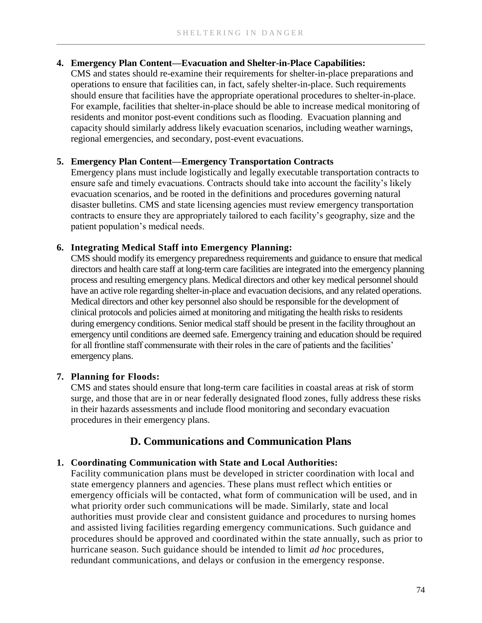#### **4. Emergency Plan Content—Evacuation and Shelter-in-Place Capabilities:**

CMS and states should re-examine their requirements for shelter-in-place preparations and operations to ensure that facilities can, in fact, safely shelter-in-place. Such requirements should ensure that facilities have the appropriate operational procedures to shelter-in-place. For example, facilities that shelter-in-place should be able to increase medical monitoring of residents and monitor post-event conditions such as flooding. Evacuation planning and capacity should similarly address likely evacuation scenarios, including weather warnings, regional emergencies, and secondary, post-event evacuations.

#### **5. Emergency Plan Content—Emergency Transportation Contracts**

Emergency plans must include logistically and legally executable transportation contracts to ensure safe and timely evacuations. Contracts should take into account the facility's likely evacuation scenarios, and be rooted in the definitions and procedures governing natural disaster bulletins. CMS and state licensing agencies must review emergency transportation contracts to ensure they are appropriately tailored to each facility's geography, size and the patient population's medical needs.

#### **6. Integrating Medical Staff into Emergency Planning:**

CMS should modify its emergency preparedness requirements and guidance to ensure that medical directors and health care staff at long-term care facilities are integrated into the emergency planning process and resulting emergency plans. Medical directors and other key medical personnel should have an active role regarding shelter-in-place and evacuation decisions, and any related operations. Medical directors and other key personnel also should be responsible for the development of clinical protocols and policies aimed at monitoring and mitigating the health risks to residents during emergency conditions. Senior medical staff should be present in the facility throughout an emergency until conditions are deemed safe. Emergency training and education should be required for all frontline staff commensurate with their roles in the care of patients and the facilities' emergency plans.

#### **7. Planning for Floods:**

CMS and states should ensure that long-term care facilities in coastal areas at risk of storm surge, and those that are in or near federally designated flood zones, fully address these risks in their hazards assessments and include flood monitoring and secondary evacuation procedures in their emergency plans.

### **D. Communications and Communication Plans**

# **1. Coordinating Communication with State and Local Authorities:**

Facility communication plans must be developed in stricter coordination with local and state emergency planners and agencies. These plans must reflect which entities or emergency officials will be contacted, what form of communication will be used, and in what priority order such communications will be made. Similarly, state and local authorities must provide clear and consistent guidance and procedures to nursing homes and assisted living facilities regarding emergency communications. Such guidance and procedures should be approved and coordinated within the state annually, such as prior to hurricane season. Such guidance should be intended to limit *ad hoc* procedures, redundant communications, and delays or confusion in the emergency response.